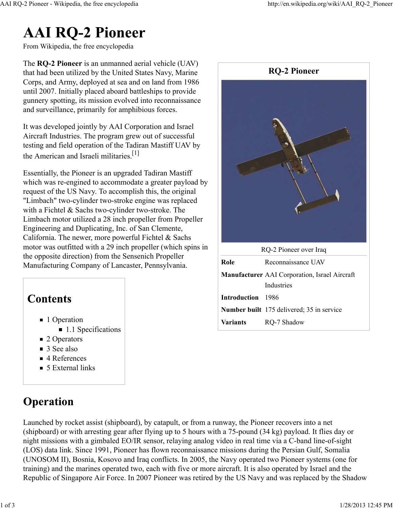# **AAI RQ-2 Pioneer**

From Wikipedia, the free encyclopedia

The **RQ-2 Pioneer** is an unmanned aerial vehicle (UAV) that had been utilized by the United States Navy, Marine Corps, and Army, deployed at sea and on land from 1986 until 2007. Initially placed aboard battleships to provide gunnery spotting, its mission evolved into reconnaissance and surveillance, primarily for amphibious forces.

It was developed jointly by AAI Corporation and Israel Aircraft Industries. The program grew out of successful testing and field operation of the Tadiran Mastiff UAV by the American and Israeli militaries.<sup>[1]</sup>

Essentially, the Pioneer is an upgraded Tadiran Mastiff which was re-engined to accommodate a greater payload by request of the US Navy. To accomplish this, the original "Limbach" two-cylinder two-stroke engine was replaced with a Fichtel & Sachs two-cylinder two-stroke. The Limbach motor utilized a 28 inch propeller from Propeller Engineering and Duplicating, Inc. of San Clemente, California. The newer, more powerful Fichtel & Sachs motor was outfitted with a 29 inch propeller (which spins in the opposite direction) from the Sensenich Propeller Manufacturing Company of Lancaster, Pennsylvania.

# **Contents**

- 1 Operation
	- 1.1 Specifications
- 2 Operators
- 3 See also
- 4 References
- 5 External links

# **Operation**





| RQ-2 Pioneer over Iraq |  |
|------------------------|--|
|                        |  |

| Role                                                 | Reconnaissance UAV                        |  |  |
|------------------------------------------------------|-------------------------------------------|--|--|
| <b>Manufacturer</b> AAI Corporation, Israel Aircraft |                                           |  |  |
|                                                      | Industries                                |  |  |
| Introduction 1986                                    |                                           |  |  |
|                                                      | Number built 175 delivered; 35 in service |  |  |
| <b>Variants</b>                                      | RQ-7 Shadow                               |  |  |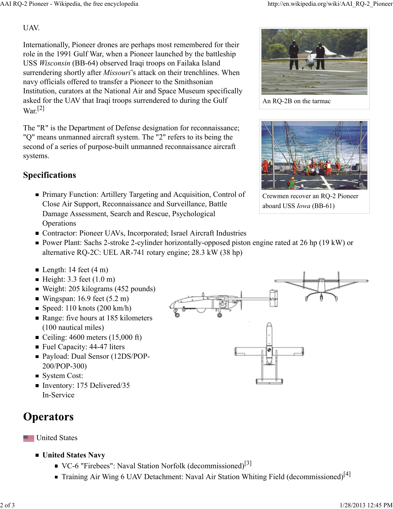#### UAV.

Internationally, Pioneer drones are perhaps most remembered for their role in the 1991 Gulf War, when a Pioneer launched by the battleship USS *Wisconsin* (BB-64) observed Iraqi troops on Failaka Island surrendering shortly after *Missouri*'s attack on their trenchlines. When navy officials offered to transfer a Pioneer to the Smithsonian Institution, curators at the National Air and Space Museum specifically asked for the UAV that Iraqi troops surrendered to during the Gulf  $\text{War}^{[2]}$ 

The "R" is the Department of Defense designation for reconnaissance; "Q" means unmanned aircraft system. The "2" refers to its being the second of a series of purpose-built unmanned reconnaissance aircraft systems.

#### **Specifications**

- Primary Function: Artillery Targeting and Acquisition, Control of Close Air Support, Reconnaissance and Surveillance, Battle Damage Assessment, Search and Rescue, Psychological **Operations**
- Contractor: Pioneer UAVs, Incorporated; Israel Aircraft Industries
- Power Plant: Sachs 2-stroke 2-cylinder horizontally-opposed piston engine rated at 26 hp (19 kW) or alternative RQ-2C: UEL AR-741 rotary engine; 28.3 kW (38 hp)
- Length: 14 feet  $(4 \text{ m})$
- $\blacksquare$  Height: 3.3 feet (1.0 m)
- Weight: 205 kilograms (452 pounds)
- Wingspan:  $16.9$  feet  $(5.2 \text{ m})$
- Speed:  $110$  knots  $(200 \text{ km/h})$
- Range: five hours at 185 kilometers (100 nautical miles)
- Ceiling:  $4600$  meters  $(15,000 \text{ ft})$
- Fuel Capacity: 44-47 liters
- Payload: Dual Sensor (12DS/POP-200/POP-300)
- System Cost:
- Inventory: 175 Delivered/35 In-Service

# **Operators**

**United States** 

- **United States Navy**
	- VC-6 "Firebees": Naval Station Norfolk (decommissioned)<sup>[3]</sup>
	- Training Air Wing 6 UAV Detachment: Naval Air Station Whiting Field (decommissioned)<sup>[4]</sup>



An RQ-2B on the tarmac



Crewmen recover an RQ-2 Pioneer aboard USS *Iowa* (BB-61)